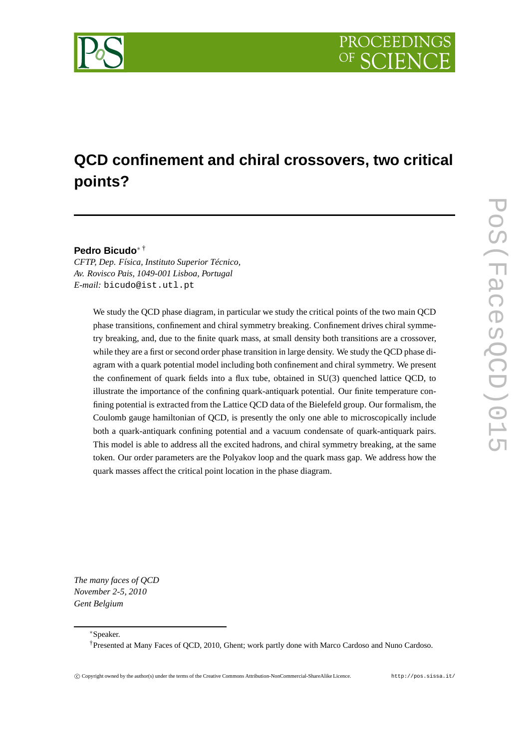

# **QCD confinement and chiral crossovers, two critical points?**

## **Pedro Bicudo**<sup>∗</sup> †

*CFTP, Dep. Física, Instituto Superior Técnico, Av. Rovisco Pais, 1049-001 Lisboa, Portugal E-mail:* bicudo@ist.utl.pt

> We study the QCD phase diagram, in particular we study the critical points of the two main QCD phase transitions, confinement and chiral symmetry breaking. Confinement drives chiral symmetry breaking, and, due to the finite quark mass, at small density both transitions are a crossover, while they are a first or second order phase transition in large density. We study the QCD phase diagram with a quark potential model including both confinement and chiral symmetry. We present the confinement of quark fields into a flux tube, obtained in SU(3) quenched lattice QCD, to illustrate the importance of the confining quark-antiquark potential. Our finite temperature confining potential is extracted from the Lattice QCD data of the Bielefeld group. Our formalism, the Coulomb gauge hamiltonian of QCD, is presently the only one able to microscopically include both a quark-antiquark confining potential and a vacuum condensate of quark-antiquark pairs. This model is able to address all the excited hadrons, and chiral symmetry breaking, at the same token. Our order parameters are the Polyakov loop and the quark mass gap. We address how the quark masses affect the critical point location in the phase diagram.

*The many faces of QCD November 2-5, 2010 Gent Belgium*

<sup>∗</sup>Speaker.

<sup>†</sup>Presented at Many Faces of QCD, 2010, Ghent; work partly done with Marco Cardoso and Nuno Cardoso.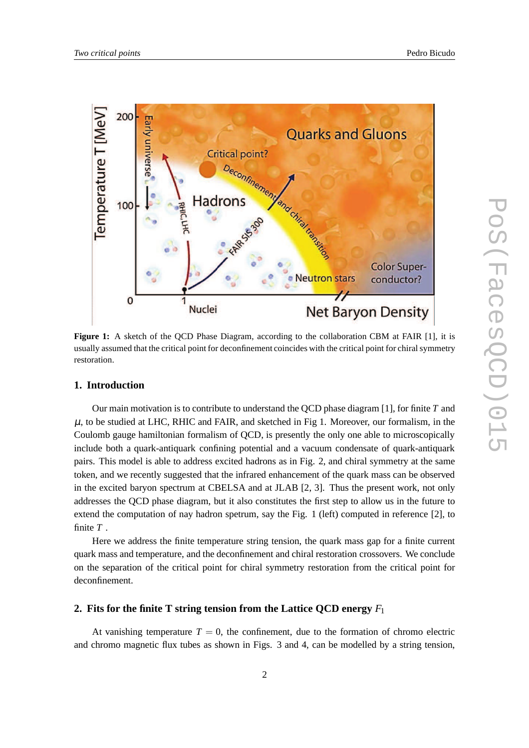

**Figure 1:** A sketch of the QCD Phase Diagram, according to the collaboration CBM at FAIR [1], it is usually assumed that the critical point for deconfinement coincides with the critical point for chiral symmetry restoration.

## **1. Introduction**

Our main motivation is to contribute to understand the QCD phase diagram [1], for finite *T* and  $\mu$ , to be studied at LHC, RHIC and FAIR, and sketched in Fig 1. Moreover, our formalism, in the Coulomb gauge hamiltonian formalism of QCD, is presently the only one able to microscopically include both a quark-antiquark confining potential and a vacuum condensate of quark-antiquark pairs. This model is able to address excited hadrons as in Fig. 2, and chiral symmetry at the same token, and we recently suggested that the infrared enhancement of the quark mass can be observed in the excited baryon spectrum at CBELSA and at JLAB [2, 3]. Thus the present work, not only addresses the QCD phase diagram, but it also constitutes the first step to allow us in the future to extend the computation of nay hadron spetrum, say the Fig. 1 (left) computed in reference [2], to finite *T* .

Here we address the finite temperature string tension, the quark mass gap for a finite current quark mass and temperature, and the deconfinement and chiral restoration crossovers. We conclude on the separation of the critical point for chiral symmetry restoration from the critical point for deconfinement.

## **2. Fits for the finite T string tension from the Lattice QCD energy** *F*<sup>1</sup>

At vanishing temperature  $T = 0$ , the confinement, due to the formation of chromo electric and chromo magnetic flux tubes as shown in Figs. 3 and 4, can be modelled by a string tension,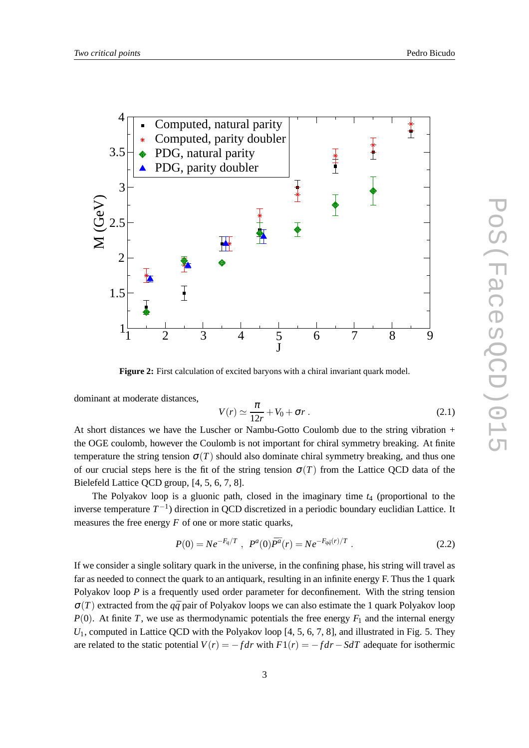

**Figure 2:** First calculation of excited baryons with a chiral invariant quark model.

dominant at moderate distances,

$$
V(r) \simeq \frac{\pi}{12r} + V_0 + \sigma r \,. \tag{2.1}
$$

At short distances we have the Luscher or Nambu-Gotto Coulomb due to the string vibration + the OGE coulomb, however the Coulomb is not important for chiral symmetry breaking. At finite temperature the string tension  $\sigma(T)$  should also dominate chiral symmetry breaking, and thus one of our crucial steps here is the fit of the string tension  $\sigma(T)$  from the Lattice QCD data of the Bielefeld Lattice QCD group, [4, 5, 6, 7, 8].

The Polyakov loop is a gluonic path, closed in the imaginary time *t*<sup>4</sup> (proportional to the inverse temperature *T* −1 ) direction in QCD discretized in a periodic boundary euclidian Lattice. It measures the free energy  $F$  of one or more static quarks,

$$
P(0) = N e^{-F_q/T} , P^a(0) \bar{P}^{\bar{a}}(r) = N e^{-F_{q\bar{q}}(r)/T} . \qquad (2.2)
$$

If we consider a single solitary quark in the universe, in the confining phase, his string will travel as far as needed to connect the quark to an antiquark, resulting in an infinite energy F. Thus the 1 quark Polyakov loop *P* is a frequently used order parameter for deconfinement. With the string tension  $\sigma(T)$  extracted from the  $q\bar{q}$  pair of Polyakov loops we can also estimate the 1 quark Polyakov loop  $P(0)$ . At finite *T*, we use as thermodynamic potentials the free energy  $F_1$  and the internal energy *U*<sub>1</sub>, computed in Lattice QCD with the Polyakov loop [4, 5, 6, 7, 8], and illustrated in Fig. 5. They are related to the static potential  $V(r) = -fdr$  with  $F1(r) = -fdr - SdT$  adequate for isothermic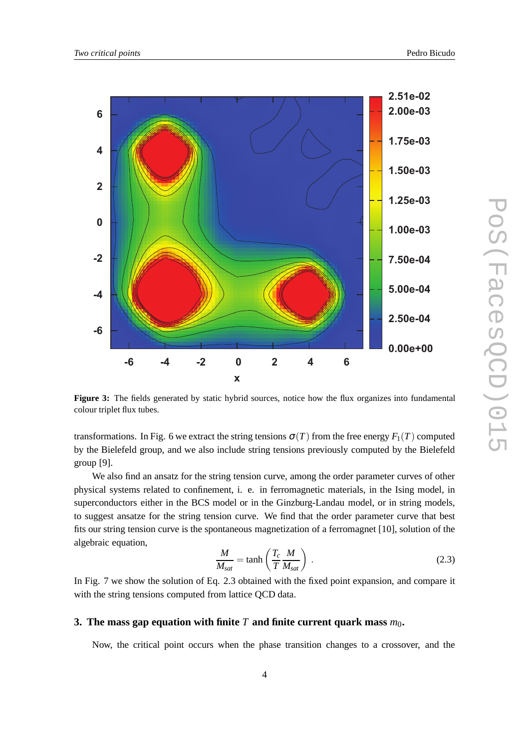

**Figure 3:** The fields generated by static hybrid sources, notice how the flux organizes into fundamental colour triplet flux tubes.

transformations. In Fig. 6 we extract the string tensions  $\sigma(T)$  from the free energy  $F_1(T)$  computed by the Bielefeld group, and we also include string tensions previously computed by the Bielefeld group [9].

We also find an ansatz for the string tension curve, among the order parameter curves of other physical systems related to confinement, i. e. in ferromagnetic materials, in the Ising model, in superconductors either in the BCS model or in the Ginzburg-Landau model, or in string models, to suggest ansatze for the string tension curve. We find that the order parameter curve that best fits our string tension curve is the spontaneous magnetization of a ferromagnet [10], solution of the algebraic equation,

$$
\frac{M}{M_{sat}} = \tanh\left(\frac{T_c}{T}\frac{M}{M_{sat}}\right) \tag{2.3}
$$

In Fig. 7 we show the solution of Eq. 2.3 obtained with the fixed point expansion, and compare it with the string tensions computed from lattice QCD data.

#### **3.** The mass gap equation with finite  $T$  and finite current quark mass  $m_0$ .

Now, the critical point occurs when the phase transition changes to a crossover, and the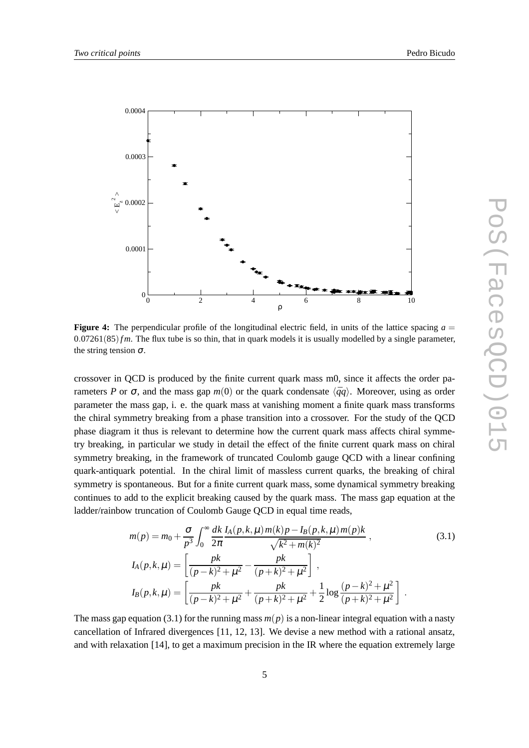

**Figure 4:** The perpendicular profile of the longitudinal electric field, in units of the lattice spacing  $a =$ 0.07261(85)*f m*. The flux tube is so thin, that in quark models it is usually modelled by a single parameter, the string tension  $\sigma$ .

crossover in QCD is produced by the finite current quark mass m0, since it affects the order parameters *P* or  $\sigma$ , and the mass gap  $m(0)$  or the quark condensate  $\langle \bar{q}q \rangle$ . Moreover, using as order parameter the mass gap, i. e. the quark mass at vanishing moment a finite quark mass transforms the chiral symmetry breaking from a phase transition into a crossover. For the study of the QCD phase diagram it thus is relevant to determine how the current quark mass affects chiral symmetry breaking, in particular we study in detail the effect of the finite current quark mass on chiral symmetry breaking, in the framework of truncated Coulomb gauge QCD with a linear confining quark-antiquark potential. In the chiral limit of massless current quarks, the breaking of chiral symmetry is spontaneous. But for a finite current quark mass, some dynamical symmetry breaking continues to add to the explicit breaking caused by the quark mass. The mass gap equation at the ladder/rainbow truncation of Coulomb Gauge QCD in equal time reads,

$$
m(p) = m_0 + \frac{\sigma}{p^3} \int_0^\infty \frac{dk}{2\pi} \frac{I_A(p,k,\mu) m(k) p - I_B(p,k,\mu) m(p) k}{\sqrt{k^2 + m(k)^2}},
$$
(3.1)  

$$
I_A(p,k,\mu) = \left[ \frac{pk}{(p-k)^2 + \mu^2} - \frac{pk}{(p+k)^2 + \mu^2} \right],
$$

$$
I_B(p,k,\mu) = \left[ \frac{pk}{(p-k)^2 + \mu^2} + \frac{pk}{(p+k)^2 + \mu^2} + \frac{1}{2} \log \frac{(p-k)^2 + \mu^2}{(p+k)^2 + \mu^2} \right].
$$

The mass gap equation (3.1) for the running mass  $m(p)$  is a non-linear integral equation with a nasty cancellation of Infrared divergences [11, 12, 13]. We devise a new method with a rational ansatz, and with relaxation [14], to get a maximum precision in the IR where the equation extremely large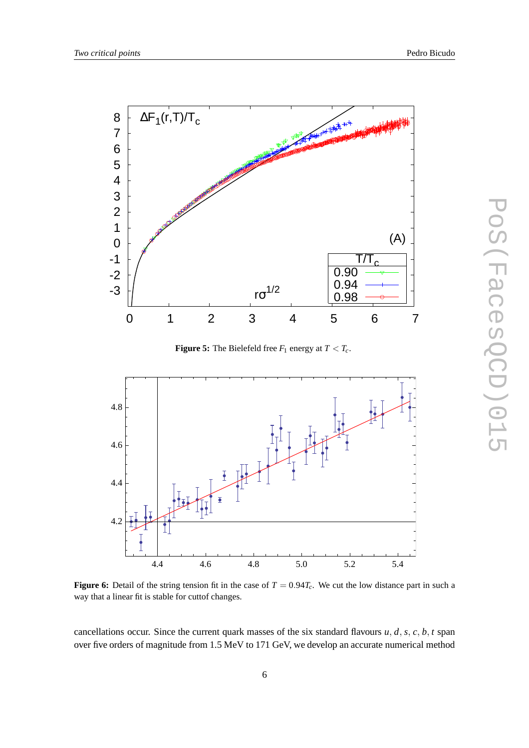

**Figure 5:** The Bielefeld free  $F_1$  energy at  $T < T_c$ .



**Figure 6:** Detail of the string tension fit in the case of  $T = 0.94T_c$ . We cut the low distance part in such a way that a linear fit is stable for cuttof changes.

cancellations occur. Since the current quark masses of the six standard flavours  $u$ ,  $d$ ,  $s$ ,  $c$ ,  $b$ ,  $t$  span over five orders of magnitude from 1.5 MeV to 171 GeV, we develop an accurate numerical method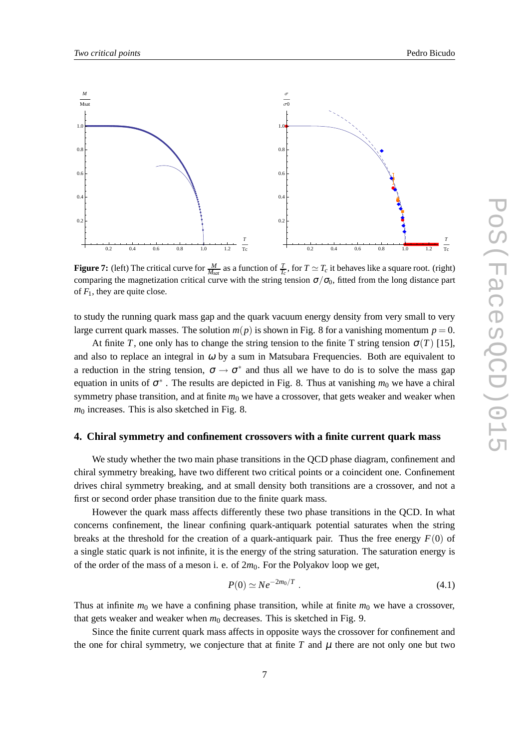

**Figure 7:** (left) The critical curve for  $\frac{M}{M_{sat}}$  as a function of  $\frac{T}{T_c}$ , for  $T \simeq T_c$  it behaves like a square root. (right) comparing the magnetization critical curve with the string tension  $\sigma/\sigma_0$ , fitted from the long distance part of  $F_1$ , they are quite close.

to study the running quark mass gap and the quark vacuum energy density from very small to very large current quark masses. The solution  $m(p)$  is shown in Fig. 8 for a vanishing momentum  $p = 0$ .

At finite *T*, one only has to change the string tension to the finite T string tension  $\sigma(T)$  [15], and also to replace an integral in  $\omega$  by a sum in Matsubara Frequencies. Both are equivalent to a reduction in the string tension,  $\sigma \to \sigma^*$  and thus all we have to do is to solve the mass gap equation in units of  $\sigma^*$ . The results are depicted in Fig. 8. Thus at vanishing  $m_0$  we have a chiral symmetry phase transition, and at finite  $m_0$  we have a crossover, that gets weaker and weaker when  $m<sub>0</sub>$  increases. This is also sketched in Fig. 8.

#### **4. Chiral symmetry and confinement crossovers with a finite current quark mass**

We study whether the two main phase transitions in the QCD phase diagram, confinement and chiral symmetry breaking, have two different two critical points or a coincident one. Confinement drives chiral symmetry breaking, and at small density both transitions are a crossover, and not a first or second order phase transition due to the finite quark mass.

However the quark mass affects differently these two phase transitions in the QCD. In what concerns confinement, the linear confining quark-antiquark potential saturates when the string breaks at the threshold for the creation of a quark-antiquark pair. Thus the free energy  $F(0)$  of a single static quark is not infinite, it is the energy of the string saturation. The saturation energy is of the order of the mass of a meson i. e. of  $2m_0$ . For the Polyakov loop we get,

$$
P(0) \simeq Ne^{-2m_0/T} \tag{4.1}
$$

Thus at infinite  $m_0$  we have a confining phase transition, while at finite  $m_0$  we have a crossover, that gets weaker and weaker when  $m_0$  decreases. This is sketched in Fig. 9.

Since the finite current quark mass affects in opposite ways the crossover for confinement and the one for chiral symmetry, we conjecture that at finite  $T$  and  $\mu$  there are not only one but two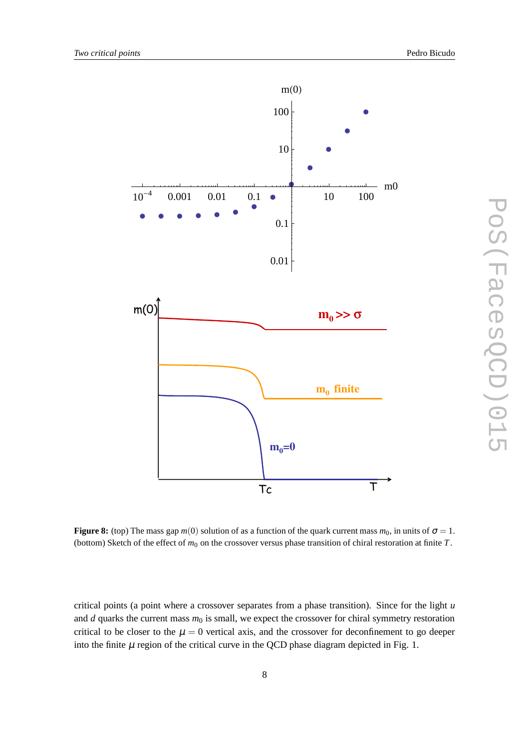

PoS(IacesQCD)015 PoS(FacesQCD)015

**Figure 8:** (top) The mass gap  $m(0)$  solution of as a function of the quark current mass  $m_0$ , in units of  $\sigma = 1$ . (bottom) Sketch of the effect of  $m_0$  on the crossover versus phase transition of chiral restoration at finite  $T$ .

critical points (a point where a crossover separates from a phase transition). Since for the light *u* and  $d$  quarks the current mass  $m_0$  is small, we expect the crossover for chiral symmetry restoration critical to be closer to the  $\mu = 0$  vertical axis, and the crossover for deconfinement to go deeper into the finite  $\mu$  region of the critical curve in the QCD phase diagram depicted in Fig. 1.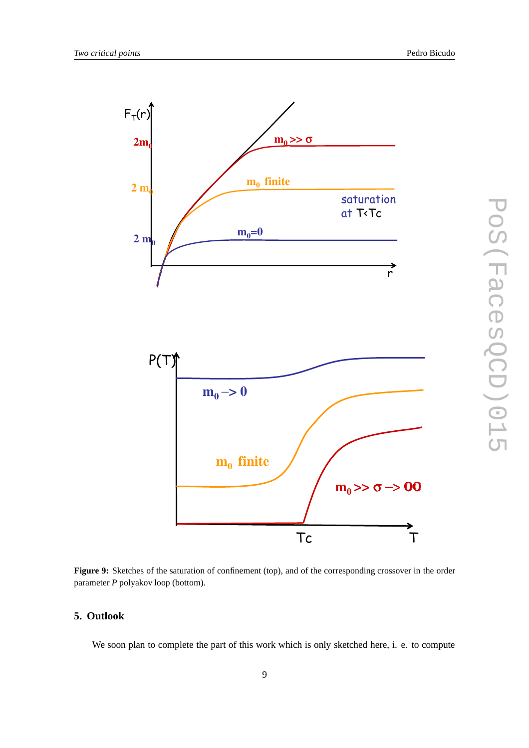

**Figure 9:** Sketches of the saturation of confinement (top), and of the corresponding crossover in the order parameter *P* polyakov loop (bottom).

# **5. Outlook**

We soon plan to complete the part of this work which is only sketched here, i. e. to compute